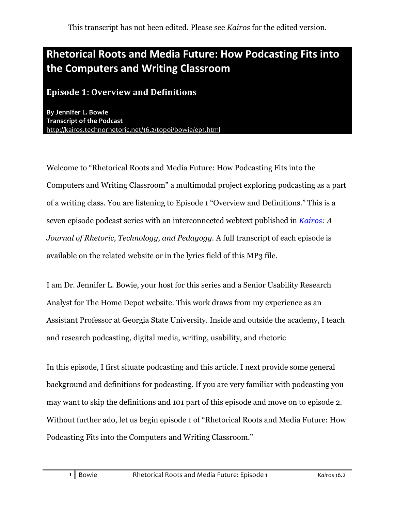# Rhetorical Roots and Media Future: How Podcasting Fits into **the+Computers+and+Writing+Classroom**

#### **Episode 1: Overview and Definitions**

**By Jennifer L. Bowie Transcript of the Podcast** http://kairos.technorhetoric.net/16.2/topoi/bowie/ep1.html

Welcome to "Rhetorical Roots and Media Future: How Podcasting Fits into the Computers and Writing Classroom" a multimodal project exploring podcasting as a part of a writing class. You are listening to Episode 1 "Overview and Definitions." This is a seven episode podcast series with an interconnected webtext published in *Kairos: A Journal of Rhetoric, Technology, and Pedagogy*. A full transcript of each episode is available on the related website or in the lyrics field of this MP3 file.

I am Dr. Jennifer L. Bowie, your host for this series and a Senior Usability Research Analyst for The Home Depot website. This work draws from my experience as an Assistant Professor at Georgia State University. Inside and outside the academy, I teach and research podcasting, digital media, writing, usability, and rhetoric

In this episode, I first situate podcasting and this article. I next provide some general background and definitions for podcasting. If you are very familiar with podcasting you may want to skip the definitions and 101 part of this episode and move on to episode 2. Without further ado, let us begin episode 1 of "Rhetorical Roots and Media Future: How Podcasting Fits into the Computers and Writing Classroom."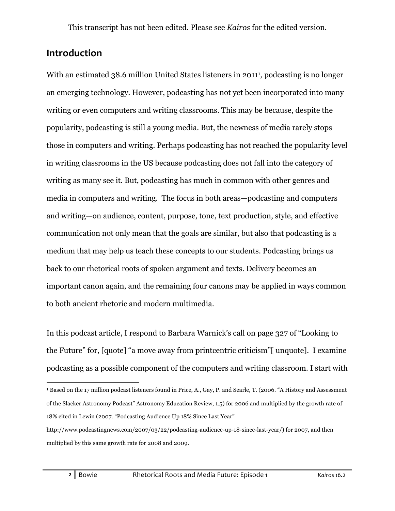### **Introduction**

With an estimated 38.6 million United States listeners in 2011<sup>1</sup>, podcasting is no longer an emerging technology. However, podcasting has not yet been incorporated into many writing or even computers and writing classrooms. This may be because, despite the popularity, podcasting is still a young media. But, the newness of media rarely stops those in computers and writing. Perhaps podcasting has not reached the popularity level in writing classrooms in the US because podcasting does not fall into the category of writing as many see it. But, podcasting has much in common with other genres and media in computers and writing. The focus in both areas—podcasting and computers and writing—on audience, content, purpose, tone, text production, style, and effective communication not only mean that the goals are similar, but also that podcasting is a medium that may help us teach these concepts to our students. Podcasting brings us back to our rhetorical roots of spoken argument and texts. Delivery becomes an important canon again, and the remaining four canons may be applied in ways common to both ancient rhetoric and modern multimedia.

In this podcast article, I respond to Barbara Warnick's call on page 327 of "Looking to the Future" for, [quote] "a move away from printcentric criticism"[ unquote]. I examine podcasting as a possible component of the computers and writing classroom. I start with

 <sup>1</sup> Based on the 17 million podcast listeners found in Price, A., Gay, P. and Searle, T. (2006. "A History and Assessment of the Slacker Astronomy Podcast" Astronomy Education Review, 1.5) for 2006 and multiplied by the growth rate of 18% cited in Lewin (2007. "Podcasting Audience Up 18% Since Last Year"

http://www.podcastingnews.com/2007/03/22/podcasting-audience-up-18-since-last-year/) for 2007, and then multiplied by this same growth rate for 2008 and 2009.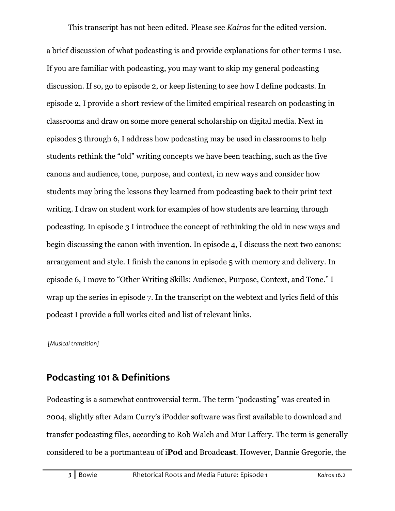a brief discussion of what podcasting is and provide explanations for other terms I use. If you are familiar with podcasting, you may want to skip my general podcasting discussion. If so, go to episode 2, or keep listening to see how I define podcasts. In episode 2, I provide a short review of the limited empirical research on podcasting in classrooms and draw on some more general scholarship on digital media. Next in episodes 3 through 6, I address how podcasting may be used in classrooms to help students rethink the "old" writing concepts we have been teaching, such as the five canons and audience, tone, purpose, and context, in new ways and consider how students may bring the lessons they learned from podcasting back to their print text writing. I draw on student work for examples of how students are learning through podcasting. In episode 3 I introduce the concept of rethinking the old in new ways and begin discussing the canon with invention. In episode 4, I discuss the next two canons: arrangement and style. I finish the canons in episode 5 with memory and delivery. In episode 6, I move to "Other Writing Skills: Audience, Purpose, Context, and Tone." I wrap up the series in episode 7. In the transcript on the webtext and lyrics field of this podcast I provide a full works cited and list of relevant links.

[Musical transition]

### **Podcasting 101 & Definitions**

Podcasting is a somewhat controversial term. The term "podcasting" was created in 2004, slightly after Adam Curry's iPodder software was first available to download and transfer podcasting files, according to Rob Walch and Mur Laffery. The term is generally considered to be a portmanteau of i**Pod** and Broad**cast**. However, Dannie Gregorie, the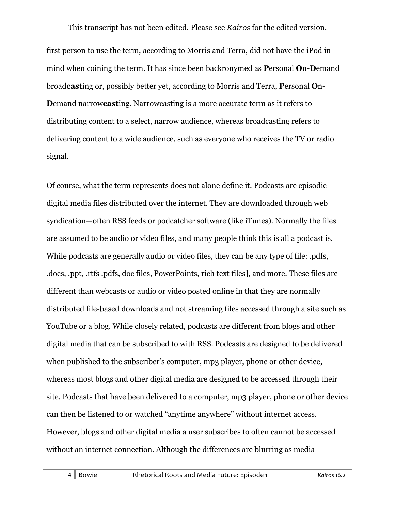first person to use the term, according to Morris and Terra, did not have the iPod in mind when coining the term. It has since been backronymed as **P**ersonal **O**n-**D**emand broad**cast**ing or, possibly better yet, according to Morris and Terra, **P**ersonal **O**n-**D**emand narrow**cast**ing. Narrowcasting is a more accurate term as it refers to distributing content to a select, narrow audience, whereas broadcasting refers to delivering content to a wide audience, such as everyone who receives the TV or radio signal.

Of course, what the term represents does not alone define it. Podcasts are episodic digital media files distributed over the internet. They are downloaded through web syndication—often RSS feeds or podcatcher software (like iTunes). Normally the files are assumed to be audio or video files, and many people think this is all a podcast is. While podcasts are generally audio or video files, they can be any type of file: .pdfs, .docs, .ppt, .rtfs .pdfs, doc files, PowerPoints, rich text files], and more. These files are different than webcasts or audio or video posted online in that they are normally distributed file-based downloads and not streaming files accessed through a site such as YouTube or a blog. While closely related, podcasts are different from blogs and other digital media that can be subscribed to with RSS. Podcasts are designed to be delivered when published to the subscriber's computer, mp3 player, phone or other device, whereas most blogs and other digital media are designed to be accessed through their site. Podcasts that have been delivered to a computer, mp3 player, phone or other device can then be listened to or watched "anytime anywhere" without internet access. However, blogs and other digital media a user subscribes to often cannot be accessed without an internet connection. Although the differences are blurring as media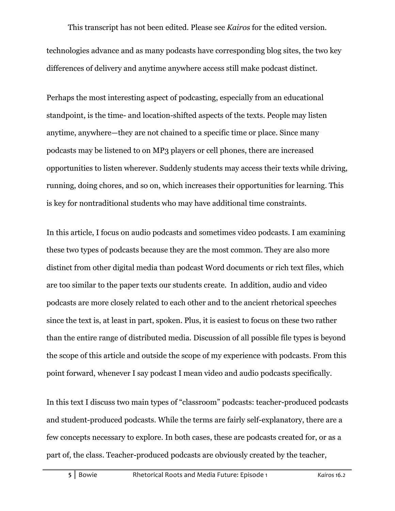This transcript has not been edited. Please see *Kairos* for the edited version. technologies advance and as many podcasts have corresponding blog sites, the two key differences of delivery and anytime anywhere access still make podcast distinct.

Perhaps the most interesting aspect of podcasting, especially from an educational standpoint, is the time- and location-shifted aspects of the texts. People may listen anytime, anywhere—they are not chained to a specific time or place. Since many podcasts may be listened to on MP3 players or cell phones, there are increased opportunities to listen wherever. Suddenly students may access their texts while driving, running, doing chores, and so on, which increases their opportunities for learning. This is key for nontraditional students who may have additional time constraints.

In this article, I focus on audio podcasts and sometimes video podcasts. I am examining these two types of podcasts because they are the most common. They are also more distinct from other digital media than podcast Word documents or rich text files, which are too similar to the paper texts our students create. In addition, audio and video podcasts are more closely related to each other and to the ancient rhetorical speeches since the text is, at least in part, spoken. Plus, it is easiest to focus on these two rather than the entire range of distributed media. Discussion of all possible file types is beyond the scope of this article and outside the scope of my experience with podcasts. From this point forward, whenever I say podcast I mean video and audio podcasts specifically.

In this text I discuss two main types of "classroom" podcasts: teacher-produced podcasts and student-produced podcasts. While the terms are fairly self-explanatory, there are a few concepts necessary to explore. In both cases, these are podcasts created for, or as a part of, the class. Teacher-produced podcasts are obviously created by the teacher,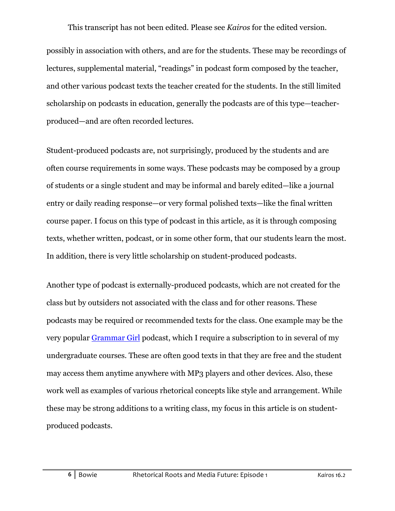possibly in association with others, and are for the students. These may be recordings of lectures, supplemental material, "readings" in podcast form composed by the teacher, and other various podcast texts the teacher created for the students. In the still limited scholarship on podcasts in education, generally the podcasts are of this type—teacherproduced—and are often recorded lectures.

Student-produced podcasts are, not surprisingly, produced by the students and are often course requirements in some ways. These podcasts may be composed by a group of students or a single student and may be informal and barely edited—like a journal entry or daily reading response—or very formal polished texts—like the final written course paper. I focus on this type of podcast in this article, as it is through composing texts, whether written, podcast, or in some other form, that our students learn the most. In addition, there is very little scholarship on student-produced podcasts.

Another type of podcast is externally-produced podcasts, which are not created for the class but by outsiders not associated with the class and for other reasons. These podcasts may be required or recommended texts for the class. One example may be the very popular Grammar Girl podcast, which I require a subscription to in several of my undergraduate courses. These are often good texts in that they are free and the student may access them anytime anywhere with MP3 players and other devices. Also, these work well as examples of various rhetorical concepts like style and arrangement. While these may be strong additions to a writing class, my focus in this article is on studentproduced podcasts.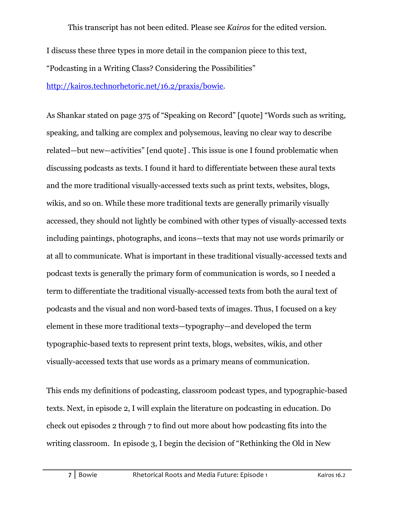I discuss these three types in more detail in the companion piece to this text,

"Podcasting in a Writing Class? Considering the Possibilities"

http://kairos.technorhetoric.net/16.2/praxis/bowie.

As Shankar stated on page 375 of "Speaking on Record" [quote] "Words such as writing, speaking, and talking are complex and polysemous, leaving no clear way to describe related—but new—activities" [end quote] . This issue is one I found problematic when discussing podcasts as texts. I found it hard to differentiate between these aural texts and the more traditional visually-accessed texts such as print texts, websites, blogs, wikis, and so on. While these more traditional texts are generally primarily visually accessed, they should not lightly be combined with other types of visually-accessed texts including paintings, photographs, and icons—texts that may not use words primarily or at all to communicate. What is important in these traditional visually-accessed texts and podcast texts is generally the primary form of communication is words, so I needed a term to differentiate the traditional visually-accessed texts from both the aural text of podcasts and the visual and non word-based texts of images. Thus, I focused on a key element in these more traditional texts—typography—and developed the term typographic-based texts to represent print texts, blogs, websites, wikis, and other visually-accessed texts that use words as a primary means of communication.

This ends my definitions of podcasting, classroom podcast types, and typographic-based texts. Next, in episode 2, I will explain the literature on podcasting in education. Do check out episodes 2 through 7 to find out more about how podcasting fits into the writing classroom. In episode 3, I begin the decision of "Rethinking the Old in New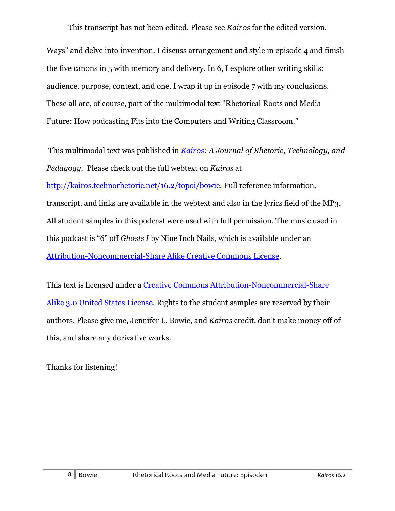Ways" and delve into invention. I discuss arrangement and style in episode 4 and finish the five canons in 5 with memory and delivery. In 6, I explore other writing skills: audience, purpose, context, and one. I wrap it up in episode 7 with my conclusions. These all are, of course, part of the multimodal text "Rhetorical Roots and Media Future: How podcasting Fits into the Computers and Writing Classroom."

 This multimodal text was published in *Kairos: A Journal of Rhetoric, Technology, and Pedagogy*. Please check out the full webtext on *Kairos* at

http://kairos.technorhetoric.net/16.2/topoi/bowie. Full reference information, transcript, and links are available in the webtext and also in the lyrics field of the MP3. All student samples in this podcast were used with full permission. The music used in this podcast is "6" off *Ghosts I* by Nine Inch Nails, which is available under an Attribution-Noncommercial-Share Alike Creative Commons License.

This text is licensed under a Creative Commons Attribution-Noncommercial-Share Alike 3.0 United States License. Rights to the student samples are reserved by their authors. Please give me, Jennifer L. Bowie, and *Kairos* credit, don't make money off of this, and share any derivative works.

Thanks for listening!